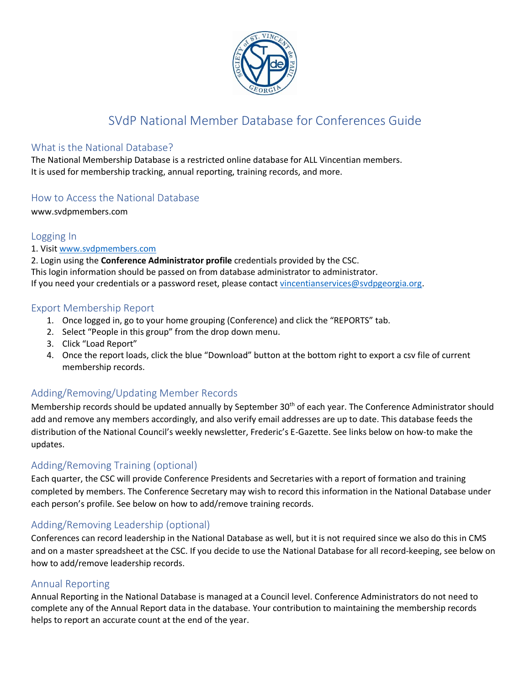

# SVdP National Member Database for Conferences Guide

#### What is the National Database?

The National Membership Database is a restricted online database for ALL Vincentian members. It is used for membership tracking, annual reporting, training records, and more.

## How to Access the National Database

www.svdpmembers.com

## Logging In

1. Visi[t www.svdpmembers.com](http://www.svdpmembers.com/)

2. Login using the **Conference Administrator profile** credentials provided by the CSC. This login information should be passed on from database administrator to administrator. If you need your credentials or a password reset, please contact [vincentianservices@svdpgeorgia.org.](mailto:vincentianservices@svdpgeorgia.org)

## Export Membership Report

- 1. Once logged in, go to your home grouping (Conference) and click the "REPORTS" tab.
- 2. Select "People in this group" from the drop down menu.
- 3. Click "Load Report"
- 4. Once the report loads, click the blue "Download" button at the bottom right to export a csv file of current membership records.

# Adding/Removing/Updating Member Records

Membership records should be updated annually by September 30<sup>th</sup> of each year. The Conference Administrator should add and remove any members accordingly, and also verify email addresses are up to date. This database feeds the distribution of the National Council's weekly newsletter, Frederic's E-Gazette. See links below on how-to make the updates.

# Adding/Removing Training (optional)

Each quarter, the CSC will provide Conference Presidents and Secretaries with a report of formation and training completed by members. The Conference Secretary may wish to record this information in the National Database under each person's profile. See below on how to add/remove training records.

## Adding/Removing Leadership (optional)

Conferences can record leadership in the National Database as well, but it is not required since we also do this in CMS and on a master spreadsheet at the CSC. If you decide to use the National Database for all record-keeping, see below on how to add/remove leadership records.

## Annual Reporting

Annual Reporting in the National Database is managed at a Council level. Conference Administrators do not need to complete any of the Annual Report data in the database. Your contribution to maintaining the membership records helps to report an accurate count at the end of the year.